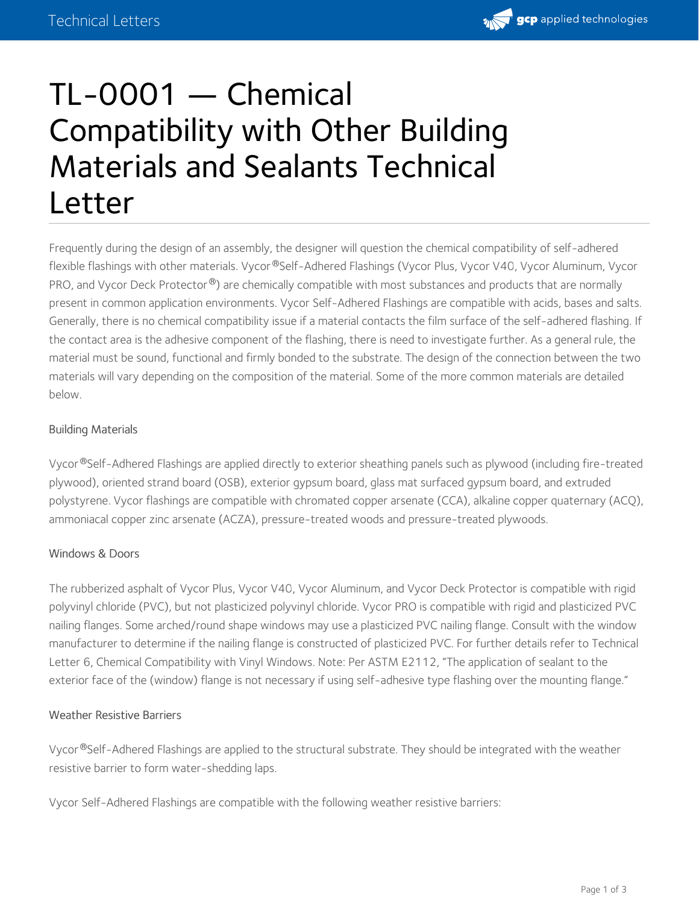

# TL-0001 — Chemical Compatibility with Other Building Materials and Sealants Technical Letter

Frequently during the design of an assembly, the designer will question the chemical compatibility of self-adhered flexible flashings with other materials. Vycor®Self-Adhered Flashings (Vycor Plus, Vycor V40, Vycor Aluminum, Vycor PRO, and Vycor Deck Protector®) are chemically compatible with most substances and products that are normally present in common application environments. Vycor Self-Adhered Flashings are compatible with acids, bases and salts. Generally, there is no chemical compatibility issue if a material contacts the film surface of the self-adhered flashing. If the contact area is the adhesive component of the flashing, there is need to investigate further. As a general rule, the material must be sound, functional and firmly bonded to the substrate. The design of the connection between the two materials will vary depending on the composition of the material. Some of the more common materials are detailed below.

# Building Materials

Vycor®Self-Adhered Flashings are applied directly to exterior sheathing panels such as plywood (including fire-treated plywood), oriented strand board (OSB), exterior gypsum board, glass mat surfaced gypsum board, and extruded polystyrene. Vycor flashings are compatible with chromated copper arsenate (CCA), alkaline copper quaternary (ACQ), ammoniacal copper zinc arsenate (ACZA), pressure-treated woods and pressure-treated plywoods.

# Windows & Doors

The rubberized asphalt of Vycor Plus, Vycor V40, Vycor Aluminum, and Vycor Deck Protector is compatible with rigid polyvinyl chloride (PVC), but not plasticized polyvinyl chloride. Vycor PRO is compatible with rigid and plasticized PVC nailing flanges. Some arched/round shape windows may use a plasticized PVC nailing flange. Consult with the window manufacturer to determine if the nailing flange is constructed of plasticized PVC. For further details refer to Technical Letter 6, Chemical Compatibility with Vinyl Windows. Note: Per ASTM E2112, "The application of sealant to the exterior face of the (window) flange is not necessary if using self-adhesive type flashing over the mounting flange."

# Weather Resistive Barriers

Vycor®Self-Adhered Flashings are applied to the structural substrate. They should be integrated with the weather resistive barrier to form water-shedding laps.

Vycor Self-Adhered Flashings are compatible with the following weather resistive barriers: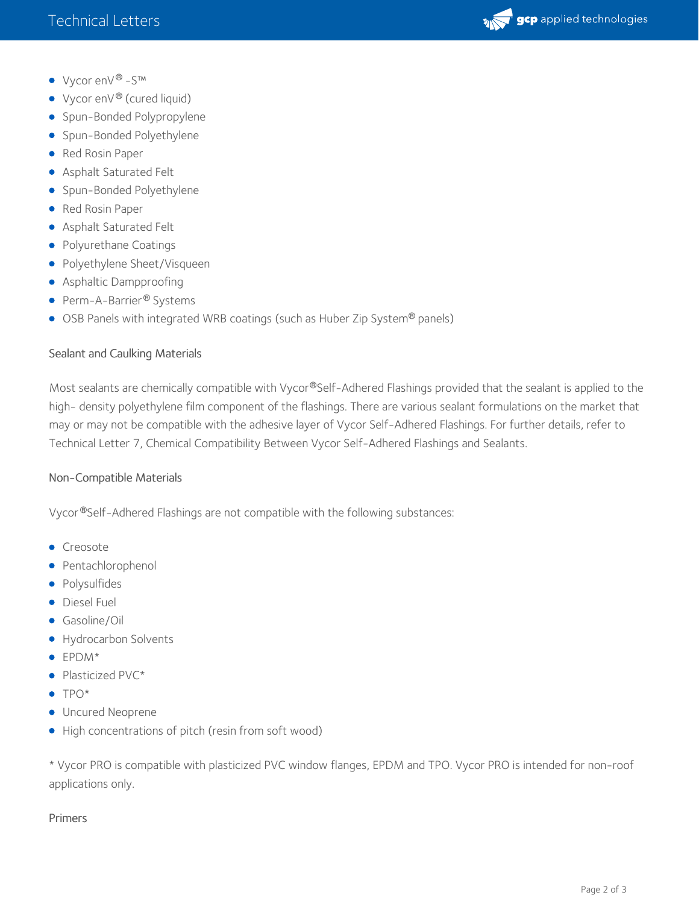

- Vycor enV ® -S™
- Vycor en $V^\circledast$  (cured liquid)
- **Spun-Bonded Polypropylene**
- Spun-Bonded Polyethylene
- Red Rosin Paper
- Asphalt Saturated Felt
- **Spun-Bonded Polyethylene**
- Red Rosin Paper
- Asphalt Saturated Felt
- Polyurethane Coatings
- Polyethylene Sheet/Visqueen
- Asphaltic Dampproofing
- Perm-A-Barrier® Systems
- $\bullet$  OSB Panels with integrated WRB coatings (such as Huber Zip System® panels)

#### Sealant and Caulking Materials

Most sealants are chemically compatible with Vycor®Self-Adhered Flashings provided that the sealant is applied to the high- density polyethylene film component of the flashings. There are various sealant formulations on the market that may or may not be compatible with the adhesive layer of Vycor Self-Adhered Flashings. For further details, refer to Technical Letter 7, Chemical Compatibility Between Vycor Self-Adhered Flashings and Sealants.

# Non-Compatible Materials

Vycor®Self-Adhered Flashings are not compatible with the following substances:

- **•** Creosote
- Pentachlorophenol
- Polysulfides
- **Diesel Fuel**
- Gasoline/Oil
- Hydrocarbon Solvents
- EPDM\*
- Plasticized PVC\*
- $\bullet$  TPO\*
- **Uncured Neoprene**
- High concentrations of pitch (resin from soft wood)

\* Vycor PRO is compatible with plasticized PVC window flanges, EPDM and TPO. Vycor PRO is intended for non-roof applications only.

#### Primers